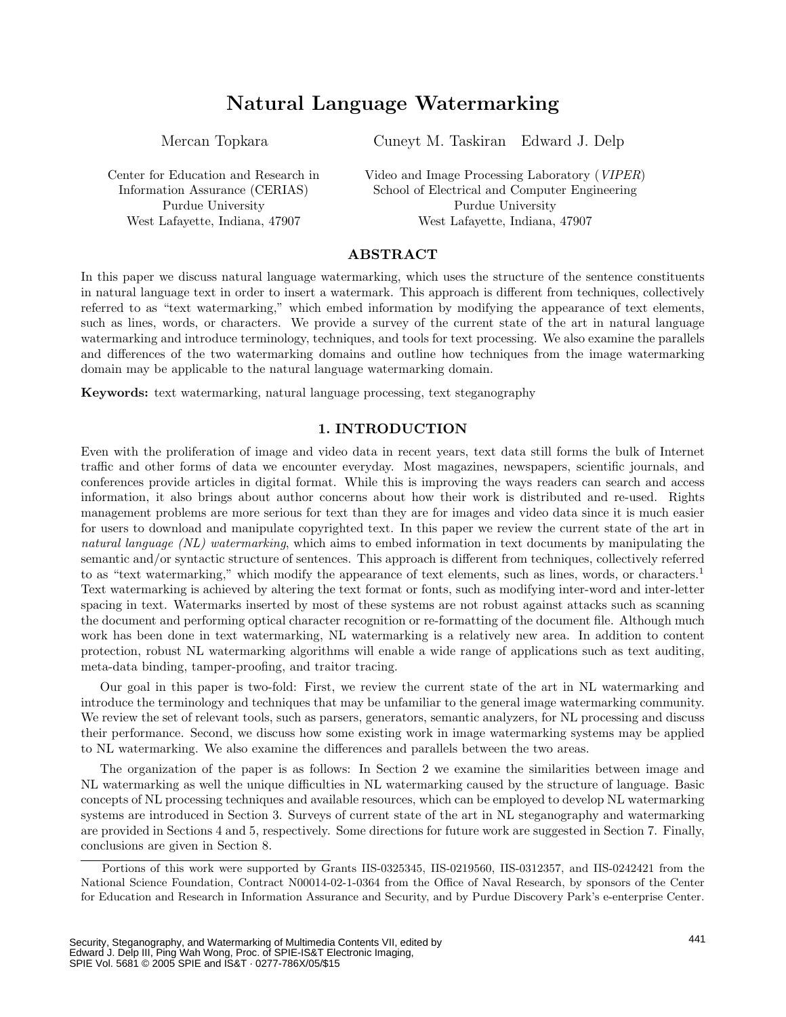# **Natural Language Watermarking**

Mercan Topkara Cuneyt M. Taskiran Edward J. Delp

Center for Education and Research in Video and Image Processing Laboratory (*VIPER* ) Information Assurance (CERIAS) School of Electrical and Computer Engineering Purdue University Purdue University West Lafayette, Indiana, 47907 West Lafayette, Indiana, 47907

## **ABSTRACT**

In this paper we discuss natural language watermarking, which uses the structure of the sentence constituents in natural language text in order to insert a watermark. This approach is different from techniques, collectively referred to as "text watermarking," which embed information by modifying the appearance of text elements, such as lines, words, or characters. We provide a survey of the current state of the art in natural language watermarking and introduce terminology, techniques, and tools for text processing. We also examine the parallels and differences of the two watermarking domains and outline how techniques from the image watermarking domain may be applicable to the natural language watermarking domain.

**Keywords:** text watermarking, natural language processing, text steganography

#### **1. INTRODUCTION**

Even with the proliferation of image and video data in recent years, text data still forms the bulk of Internet traffic and other forms of data we encounter everyday. Most magazines, newspapers, scientific journals, and conferences provide articles in digital format. While this is improving the ways readers can search and access information, it also brings about author concerns about how their work is distributed and re-used. Rights management problems are more serious for text than they are for images and video data since it is much easier for users to download and manipulate copyrighted text. In this paper we review the current state of the art in *natural language (NL) watermarking*, which aims to embed information in text documents by manipulating the semantic and/or syntactic structure of sentences. This approach is different from techniques, collectively referred to as "text watermarking," which modify the appearance of text elements, such as lines, words, or characters.<sup>1</sup> Text watermarking is achieved by altering the text format or fonts, such as modifying inter-word and inter-letter spacing in text. Watermarks inserted by most of these systems are not robust against attacks such as scanning the document and performing optical character recognition or re-formatting of the document file. Although much work has been done in text watermarking, NL watermarking is a relatively new area. In addition to content protection, robust NL watermarking algorithms will enable a wide range of applications such as text auditing, meta-data binding, tamper-proofing, and traitor tracing.

Our goal in this paper is two-fold: First, we review the current state of the art in NL watermarking and introduce the terminology and techniques that may be unfamiliar to the general image watermarking community. We review the set of relevant tools, such as parsers, generators, semantic analyzers, for NL processing and discuss their performance. Second, we discuss how some existing work in image watermarking systems may be applied to NL watermarking. We also examine the differences and parallels between the two areas.

The organization of the paper is as follows: In Section 2 we examine the similarities between image and NL watermarking as well the unique difficulties in NL watermarking caused by the structure of language. Basic concepts of NL processing techniques and available resources, which can be employed to develop NL watermarking systems are introduced in Section 3. Surveys of current state of the art in NL steganography and watermarking are provided in Sections 4 and 5, respectively. Some directions for future work are suggested in Section 7. Finally, conclusions are given in Section 8.

Portions of this work were supported by Grants IIS-0325345, IIS-0219560, IIS-0312357, and IIS-0242421 from the National Science Foundation, Contract N00014-02-1-0364 from the Office of Naval Research, by sponsors of the Center for Education and Research in Information Assurance and Security, and by Purdue Discovery Park's e-enterprise Center.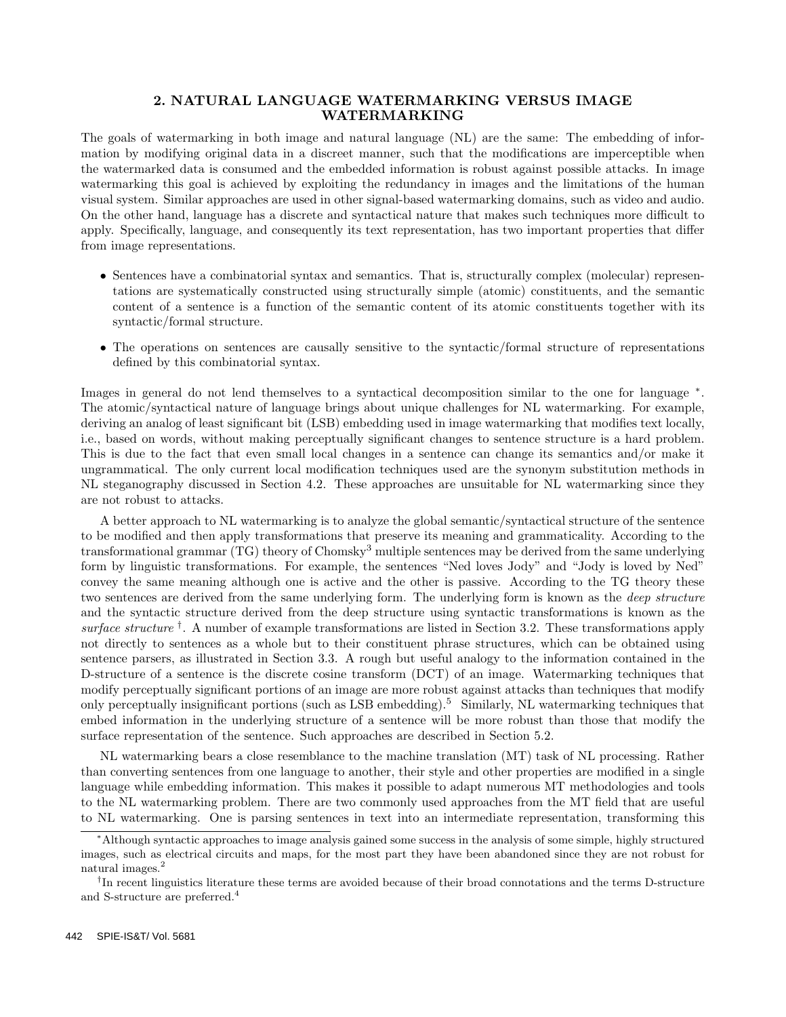## **2. NATURAL LANGUAGE WATERMARKING VERSUS IMAGE WATERMARKING**

The goals of watermarking in both image and natural language (NL) are the same: The embedding of information by modifying original data in a discreet manner, such that the modifications are imperceptible when the watermarked data is consumed and the embedded information is robust against possible attacks. In image watermarking this goal is achieved by exploiting the redundancy in images and the limitations of the human visual system. Similar approaches are used in other signal-based watermarking domains, such as video and audio. On the other hand, language has a discrete and syntactical nature that makes such techniques more difficult to apply. Specifically, language, and consequently its text representation, has two important properties that differ from image representations.

- Sentences have a combinatorial syntax and semantics. That is, structurally complex (molecular) representations are systematically constructed using structurally simple (atomic) constituents, and the semantic content of a sentence is a function of the semantic content of its atomic constituents together with its syntactic/formal structure.
- The operations on sentences are causally sensitive to the syntactic/formal structure of representations defined by this combinatorial syntax.

Images in general do not lend themselves to a syntactical decomposition similar to the one for language <sup>∗</sup>. The atomic/syntactical nature of language brings about unique challenges for NL watermarking. For example, deriving an analog of least significant bit (LSB) embedding used in image watermarking that modifies text locally, i.e., based on words, without making perceptually significant changes to sentence structure is a hard problem. This is due to the fact that even small local changes in a sentence can change its semantics and/or make it ungrammatical. The only current local modification techniques used are the synonym substitution methods in NL steganography discussed in Section 4.2. These approaches are unsuitable for NL watermarking since they are not robust to attacks.

A better approach to NL watermarking is to analyze the global semantic/syntactical structure of the sentence to be modified and then apply transformations that preserve its meaning and grammaticality. According to the transformational grammar (TG) theory of Chomsky<sup>3</sup> multiple sentences may be derived from the same underlying form by linguistic transformations. For example, the sentences "Ned loves Jody" and "Jody is loved by Ned" convey the same meaning although one is active and the other is passive. According to the TG theory these two sentences are derived from the same underlying form. The underlying form is known as the *deep structure* and the syntactic structure derived from the deep structure using syntactic transformations is known as the *surface structure* †. A number of example transformations are listed in Section 3.2. These transformations apply not directly to sentences as a whole but to their constituent phrase structures, which can be obtained using sentence parsers, as illustrated in Section 3.3. A rough but useful analogy to the information contained in the D-structure of a sentence is the discrete cosine transform (DCT) of an image. Watermarking techniques that modify perceptually significant portions of an image are more robust against attacks than techniques that modify only perceptually insignificant portions (such as LSB embedding).<sup>5</sup> Similarly, NL watermarking techniques that embed information in the underlying structure of a sentence will be more robust than those that modify the surface representation of the sentence. Such approaches are described in Section 5.2.

NL watermarking bears a close resemblance to the machine translation (MT) task of NL processing. Rather than converting sentences from one language to another, their style and other properties are modified in a single language while embedding information. This makes it possible to adapt numerous MT methodologies and tools to the NL watermarking problem. There are two commonly used approaches from the MT field that are useful to NL watermarking. One is parsing sentences in text into an intermediate representation, transforming this

<sup>∗</sup>Although syntactic approaches to image analysis gained some success in the analysis of some simple, highly structured images, such as electrical circuits and maps, for the most part they have been abandoned since they are not robust for natural images.<sup>2</sup>

 $\dagger$ In recent linguistics literature these terms are avoided because of their broad connotations and the terms D-structure and S-structure are preferred.<sup>4</sup>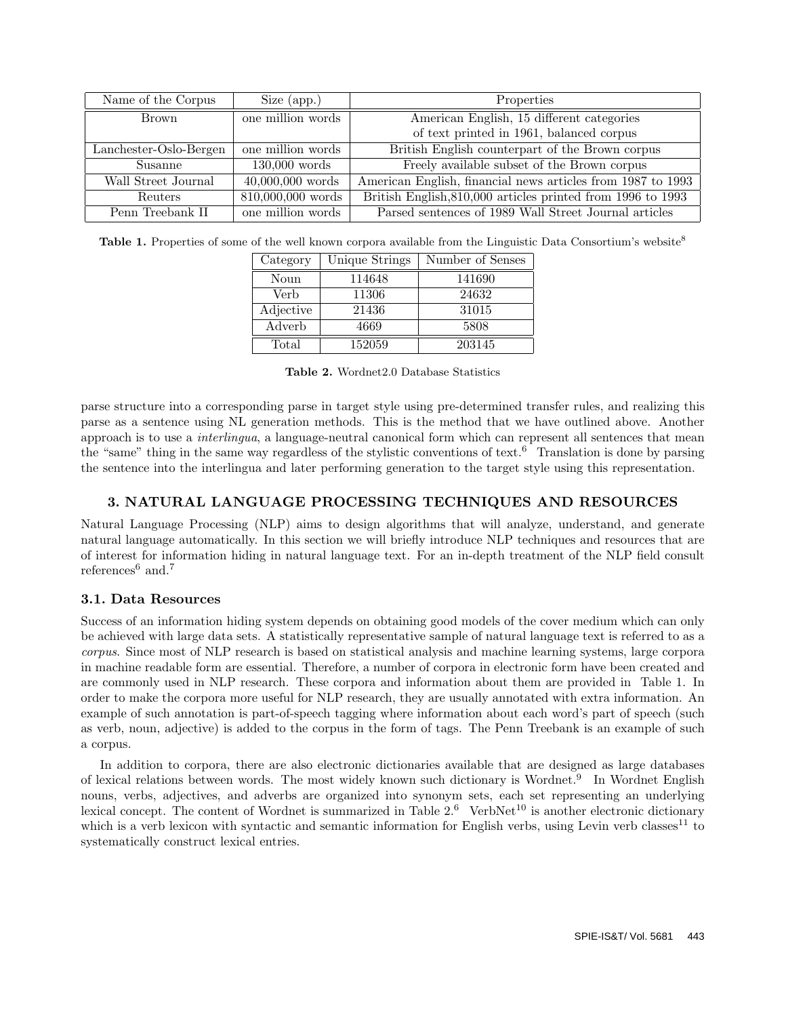| Name of the Corpus            | Size (app.)        | Properties                                                  |  |
|-------------------------------|--------------------|-------------------------------------------------------------|--|
| <b>Brown</b>                  | one million words  | American English, 15 different categories                   |  |
|                               |                    | of text printed in 1961, balanced corpus                    |  |
| Lanchester-Oslo-Bergen        | one million words  | British English counterpart of the Brown corpus             |  |
| Susanne                       | $130,000$ words    | Freely available subset of the Brown corpus                 |  |
| Wall Street Journal           | $40,000,000$ words | American English, financial news articles from 1987 to 1993 |  |
| <b>Reuters</b>                | 810,000,000 words  | British English, 810,000 articles printed from 1996 to 1993 |  |
| Penn Treebank $\overline{II}$ | one million words  | Parsed sentences of 1989 Wall Street Journal articles       |  |

**Table 1.** Properties of some of the well known corpora available from the Linguistic Data Consortium's website<sup>8</sup>

| Category  | Unique Strings | Number of Senses |
|-----------|----------------|------------------|
| Noun      | 114648         | 141690           |
| Verb      | 11306          | 24632            |
| Adjective | 21436          | 31015            |
| Adverb    | 4669           | 5808             |
| Total     | 152059         | 203145           |

**Table 2.** Wordnet2.0 Database Statistics

parse structure into a corresponding parse in target style using pre-determined transfer rules, and realizing this parse as a sentence using NL generation methods. This is the method that we have outlined above. Another approach is to use a *interlingua*, a language-neutral canonical form which can represent all sentences that mean the "same" thing in the same way regardless of the stylistic conventions of text.<sup>6</sup> Translation is done by parsing the sentence into the interlingua and later performing generation to the target style using this representation.

## **3. NATURAL LANGUAGE PROCESSING TECHNIQUES AND RESOURCES**

Natural Language Processing (NLP) aims to design algorithms that will analyze, understand, and generate natural language automatically. In this section we will briefly introduce NLP techniques and resources that are of interest for information hiding in natural language text. For an in-depth treatment of the NLP field consult references<sup>6</sup> and.<sup>7</sup>

## **3.1. Data Resources**

Success of an information hiding system depends on obtaining good models of the cover medium which can only be achieved with large data sets. A statistically representative sample of natural language text is referred to as a *corpus*. Since most of NLP research is based on statistical analysis and machine learning systems, large corpora in machine readable form are essential. Therefore, a number of corpora in electronic form have been created and are commonly used in NLP research. These corpora and information about them are provided in Table 1. In order to make the corpora more useful for NLP research, they are usually annotated with extra information. An example of such annotation is part-of-speech tagging where information about each word's part of speech (such as verb, noun, adjective) is added to the corpus in the form of tags. The Penn Treebank is an example of such a corpus.

In addition to corpora, there are also electronic dictionaries available that are designed as large databases of lexical relations between words. The most widely known such dictionary is Wordnet.<sup>9</sup> In Wordnet English nouns, verbs, adjectives, and adverbs are organized into synonym sets, each set representing an underlying lexical concept. The content of Wordnet is summarized in Table  $2.6$  VerbNet<sup>10</sup> is another electronic dictionary which is a verb lexicon with syntactic and semantic information for English verbs, using Levin verb classes $^{11}$  to systematically construct lexical entries.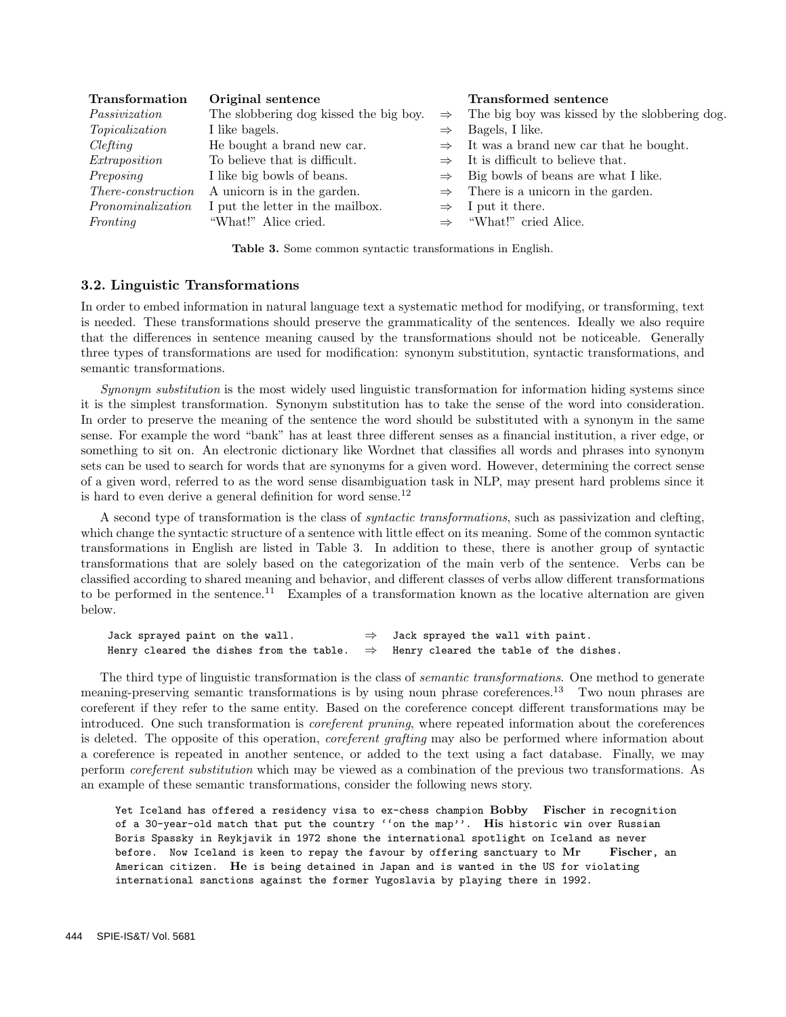| <b>Transformation</b>     | Original sentence                      |               | <b>Transformed sentence</b>                          |
|---------------------------|----------------------------------------|---------------|------------------------------------------------------|
| Passivization             | The slobbering dog kissed the big boy. | $\Rightarrow$ | The big boy was kissed by the slobbering dog.        |
| Topicalization            | I like bagels.                         | $\Rightarrow$ | Bagels, I like.                                      |
| Clefting                  | He bought a brand new car.             |               | $\Rightarrow$ It was a brand new car that he bought. |
| Extraposition             | To believe that is difficult.          |               | It is difficult to believe that.                     |
| Preposing                 | I like big bowls of beans.             | $\Rightarrow$ | Big bowls of beans are what I like.                  |
| <i>There-construction</i> | A unicorn is in the garden.            |               | $\Rightarrow$ There is a unicorn in the garden.      |
| Pronominalization         | I put the letter in the mailbox.       | $\Rightarrow$ | I put it there.                                      |
| Fronting                  | "What!" Alice cried.                   |               | "What!" cried Alice.                                 |

**Table 3.** Some common syntactic transformations in English.

#### **3.2. Linguistic Transformations**

In order to embed information in natural language text a systematic method for modifying, or transforming, text is needed. These transformations should preserve the grammaticality of the sentences. Ideally we also require that the differences in sentence meaning caused by the transformations should not be noticeable. Generally three types of transformations are used for modification: synonym substitution, syntactic transformations, and semantic transformations.

*Synonym substitution* is the most widely used linguistic transformation for information hiding systems since it is the simplest transformation. Synonym substitution has to take the sense of the word into consideration. In order to preserve the meaning of the sentence the word should be substituted with a synonym in the same sense. For example the word "bank" has at least three different senses as a financial institution, a river edge, or something to sit on. An electronic dictionary like Wordnet that classifies all words and phrases into synonym sets can be used to search for words that are synonyms for a given word. However, determining the correct sense of a given word, referred to as the word sense disambiguation task in NLP, may present hard problems since it is hard to even derive a general definition for word sense.<sup>12</sup>

A second type of transformation is the class of *syntactic transformations*, such as passivization and clefting, which change the syntactic structure of a sentence with little effect on its meaning. Some of the common syntactic transformations in English are listed in Table 3. In addition to these, there is another group of syntactic transformations that are solely based on the categorization of the main verb of the sentence. Verbs can be classified according to shared meaning and behavior, and different classes of verbs allow different transformations to be performed in the sentence.<sup>11</sup> Examples of a transformation known as the locative alternation are given below.

Jack sprayed paint on the wall.  $\Rightarrow$  Jack sprayed the wall with paint.<br>Henry cleared the dishes from the table.  $\Rightarrow$  Henry cleared the table of the dishes. Henry cleared the dishes from the table.

The third type of linguistic transformation is the class of *semantic transformations*. One method to generate meaning-preserving semantic transformations is by using noun phrase coreferences.<sup>13</sup> Two noun phrases are coreferent if they refer to the same entity. Based on the coreference concept different transformations may be introduced. One such transformation is *coreferent pruning*, where repeated information about the coreferences is deleted. The opposite of this operation, *coreferent grafting* may also be performed where information about a coreference is repeated in another sentence, or added to the text using a fact database. Finally, we may perform *coreferent substitution* which may be viewed as a combination of the previous two transformations. As an example of these semantic transformations, consider the following news story.

Yet Iceland has offered a residency visa to ex-chess champion **Bobby Fischer** in recognition of a 30-year-old match that put the country ''on the map''. **His** historic win over Russian Boris Spassky in Reykjavik in 1972 shone the international spotlight on Iceland as never before. Now Iceland is keen to repay the favour by offering sanctuary to **Mr Fischer**, an American citizen. **He** is being detained in Japan and is wanted in the US for violating international sanctions against the former Yugoslavia by playing there in 1992.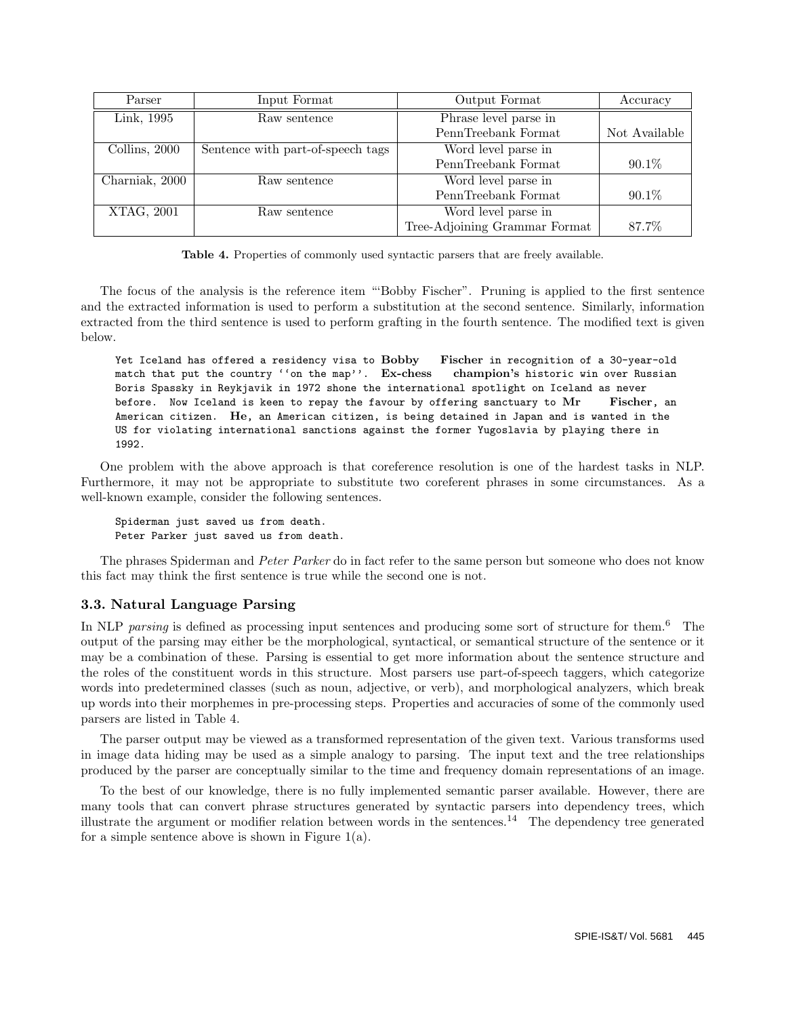| Parser         | Input Format                      | Output Format                 | Accuracy      |
|----------------|-----------------------------------|-------------------------------|---------------|
| Link, 1995     | Raw sentence                      | Phrase level parse in         |               |
|                |                                   | PennTreebank Format           | Not Available |
| Collins, 2000  | Sentence with part-of-speech tags | Word level parse in           |               |
|                |                                   | PennTreebank Format           | 90.1%         |
| Charniak, 2000 | Raw sentence                      | Word level parse in           |               |
|                |                                   | PennTreebank Format           | $90.1\%$      |
| XTAG, 2001     | Raw sentence                      | Word level parse in           |               |
|                |                                   | Tree-Adjoining Grammar Format | 87.7%         |

**Table 4.** Properties of commonly used syntactic parsers that are freely available.

The focus of the analysis is the reference item "'Bobby Fischer". Pruning is applied to the first sentence and the extracted information is used to perform a substitution at the second sentence. Similarly, information extracted from the third sentence is used to perform grafting in the fourth sentence. The modified text is given below.

Yet Iceland has offered a residency visa to **Bobby Fischer** in recognition of a 30-year-old match that put the country ''on the map''. **Ex-chess champion's** historic win over Russian Boris Spassky in Reykjavik in 1972 shone the international spotlight on Iceland as never before. Now Iceland is keen to repay the favour by offering sanctuary to **Mr Fischer**, an American citizen. **He**, an American citizen, is being detained in Japan and is wanted in the US for violating international sanctions against the former Yugoslavia by playing there in 1992.

One problem with the above approach is that coreference resolution is one of the hardest tasks in NLP. Furthermore, it may not be appropriate to substitute two coreferent phrases in some circumstances. As a well-known example, consider the following sentences.

Spiderman just saved us from death. Peter Parker just saved us from death.

The phrases Spiderman and *Peter Parker* do in fact refer to the same person but someone who does not know this fact may think the first sentence is true while the second one is not.

## **3.3. Natural Language Parsing**

In NLP *parsing* is defined as processing input sentences and producing some sort of structure for them.<sup>6</sup> The output of the parsing may either be the morphological, syntactical, or semantical structure of the sentence or it may be a combination of these. Parsing is essential to get more information about the sentence structure and the roles of the constituent words in this structure. Most parsers use part-of-speech taggers, which categorize words into predetermined classes (such as noun, adjective, or verb), and morphological analyzers, which break up words into their morphemes in pre-processing steps. Properties and accuracies of some of the commonly used parsers are listed in Table 4.

The parser output may be viewed as a transformed representation of the given text. Various transforms used in image data hiding may be used as a simple analogy to parsing. The input text and the tree relationships produced by the parser are conceptually similar to the time and frequency domain representations of an image.

To the best of our knowledge, there is no fully implemented semantic parser available. However, there are many tools that can convert phrase structures generated by syntactic parsers into dependency trees, which illustrate the argument or modifier relation between words in the sentences.<sup>14</sup> The dependency tree generated for a simple sentence above is shown in Figure  $1(a)$ .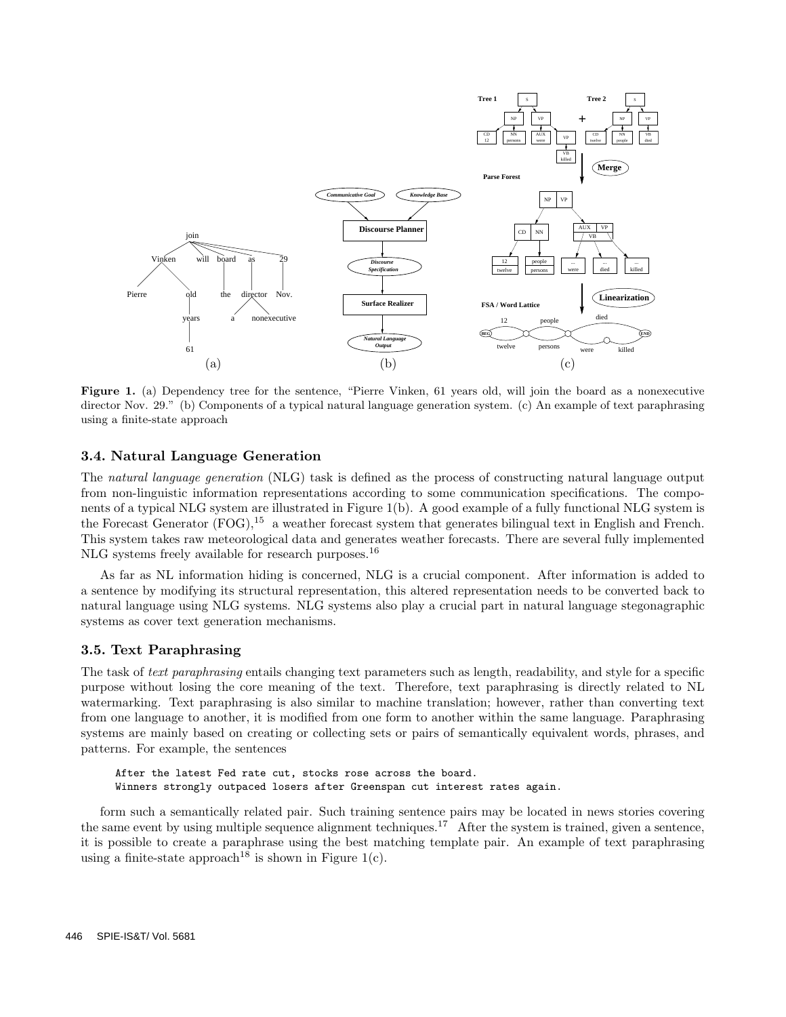

Figure 1. (a) Dependency tree for the sentence, "Pierre Vinken, 61 years old, will join the board as a nonexecutive director Nov. 29." (b) Components of a typical natural language generation system. (c) An example of text paraphrasing using a finite-state approach

#### **3.4. Natural Language Generation**

The *natural language generation* (NLG) task is defined as the process of constructing natural language output from non-linguistic information representations according to some communication specifications. The components of a typical NLG system are illustrated in Figure 1(b). A good example of a fully functional NLG system is the Forecast Generator  $(FOG)^{15}$  a weather forecast system that generates bilingual text in English and French. This system takes raw meteorological data and generates weather forecasts. There are several fully implemented NLG systems freely available for research purposes.<sup>16</sup>

As far as NL information hiding is concerned, NLG is a crucial component. After information is added to a sentence by modifying its structural representation, this altered representation needs to be converted back to natural language using NLG systems. NLG systems also play a crucial part in natural language stegonagraphic systems as cover text generation mechanisms.

#### **3.5. Text Paraphrasing**

The task of *text paraphrasing* entails changing text parameters such as length, readability, and style for a specific purpose without losing the core meaning of the text. Therefore, text paraphrasing is directly related to NL watermarking. Text paraphrasing is also similar to machine translation; however, rather than converting text from one language to another, it is modified from one form to another within the same language. Paraphrasing systems are mainly based on creating or collecting sets or pairs of semantically equivalent words, phrases, and patterns. For example, the sentences

After the latest Fed rate cut, stocks rose across the board. Winners strongly outpaced losers after Greenspan cut interest rates again.

form such a semantically related pair. Such training sentence pairs may be located in news stories covering the same event by using multiple sequence alignment techniques.<sup>17</sup> After the system is trained, given a sentence, it is possible to create a paraphrase using the best matching template pair. An example of text paraphrasing using a finite-state approach<sup>18</sup> is shown in Figure 1(c).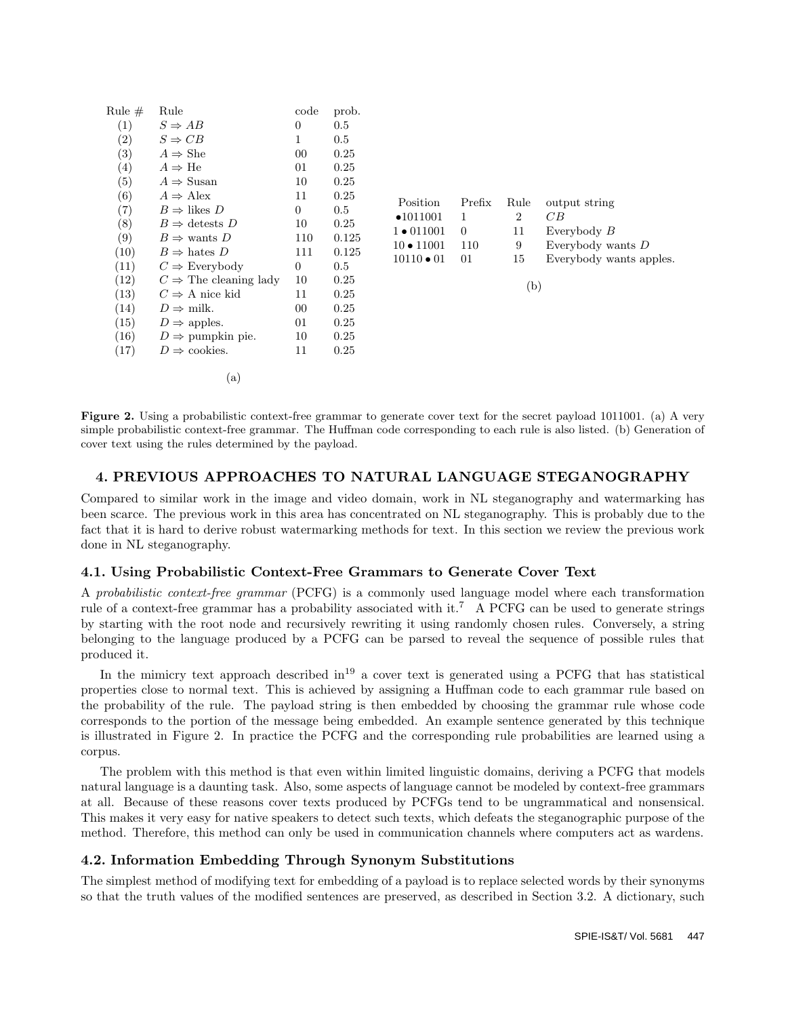| Rule $#$          | Rule                              | code           | prob.   |                    |                        |                        |                         |
|-------------------|-----------------------------------|----------------|---------|--------------------|------------------------|------------------------|-------------------------|
| (1)               | $S \Rightarrow AB$                | $\mathbf{0}$   | $0.5\,$ |                    |                        |                        |                         |
| (2)               | $S \Rightarrow CB$                | 1              | 0.5     |                    |                        |                        |                         |
| (3)               | $A \Rightarrow$ She               | $00\,$         | 0.25    |                    |                        |                        |                         |
| $\left( 4\right)$ | $A \Rightarrow He$                | 01             | 0.25    |                    |                        |                        |                         |
| $\left( 5\right)$ | $A \Rightarrow$ Susan             | 10             | 0.25    |                    |                        |                        |                         |
| (6)               | $A \Rightarrow$ Alex              | 11             | 0.25    | Position           |                        |                        |                         |
| (7)               | $B \Rightarrow$ likes D           | $\overline{0}$ | $0.5\,$ | •1011001           | Prefix<br>$\mathbf{1}$ | Rule<br>$\overline{2}$ | output string<br>CB     |
| (8)               | $B \Rightarrow$ detests D         | 10             | 0.25    |                    |                        |                        |                         |
| (9)               | $B \Rightarrow$ wants D           | 110            | 0.125   | $1 \cdot 011001$   | $\overline{0}$         | 11                     | Everybody $B$           |
| (10)              | $B \Rightarrow$ hates D           | 111            | 0.125   | $10 \bullet 11001$ | 110                    | 9                      | Everybody wants $D$     |
| (11)              | $C \Rightarrow$ Everybody         | $\overline{0}$ | 0.5     | $10110 \bullet 01$ | 01                     | 15                     | Everybody wants apples. |
| (12)              | $C \Rightarrow$ The cleaning lady | 10             | 0.25    |                    |                        |                        |                         |
| (13)              | $C \Rightarrow A$ nice kid        | 11             | 0.25    |                    |                        | (b)                    |                         |
| (14)              | $D \Rightarrow$ milk.             | $00\,$         | 0.25    |                    |                        |                        |                         |
| (15)              | $D \Rightarrow$ apples.           | 01             | 0.25    |                    |                        |                        |                         |
| (16)              | $D \Rightarrow$ pumpkin pie.      | 10             | 0.25    |                    |                        |                        |                         |
| (17)              | $D \Rightarrow$ cookies.          | 11             | 0.25    |                    |                        |                        |                         |
|                   | (a)                               |                |         |                    |                        |                        |                         |

Figure 2. Using a probabilistic context-free grammar to generate cover text for the secret payload 1011001. (a) A very simple probabilistic context-free grammar. The Huffman code corresponding to each rule is also listed. (b) Generation of cover text using the rules determined by the payload.

## **4. PREVIOUS APPROACHES TO NATURAL LANGUAGE STEGANOGRAPHY**

Compared to similar work in the image and video domain, work in NL steganography and watermarking has been scarce. The previous work in this area has concentrated on NL steganography. This is probably due to the fact that it is hard to derive robust watermarking methods for text. In this section we review the previous work done in NL steganography.

## **4.1. Using Probabilistic Context-Free Grammars to Generate Cover Text**

A *probabilistic context-free grammar* (PCFG) is a commonly used language model where each transformation rule of a context-free grammar has a probability associated with it.<sup>7</sup> A PCFG can be used to generate strings by starting with the root node and recursively rewriting it using randomly chosen rules. Conversely, a string belonging to the language produced by a PCFG can be parsed to reveal the sequence of possible rules that produced it.

In the mimicry text approach described in<sup>19</sup> a cover text is generated using a PCFG that has statistical properties close to normal text. This is achieved by assigning a Huffman code to each grammar rule based on the probability of the rule. The payload string is then embedded by choosing the grammar rule whose code corresponds to the portion of the message being embedded. An example sentence generated by this technique is illustrated in Figure 2. In practice the PCFG and the corresponding rule probabilities are learned using a corpus.

The problem with this method is that even within limited linguistic domains, deriving a PCFG that models natural language is a daunting task. Also, some aspects of language cannot be modeled by context-free grammars at all. Because of these reasons cover texts produced by PCFGs tend to be ungrammatical and nonsensical. This makes it very easy for native speakers to detect such texts, which defeats the steganographic purpose of the method. Therefore, this method can only be used in communication channels where computers act as wardens.

## **4.2. Information Embedding Through Synonym Substitutions**

The simplest method of modifying text for embedding of a payload is to replace selected words by their synonyms so that the truth values of the modified sentences are preserved, as described in Section 3.2. A dictionary, such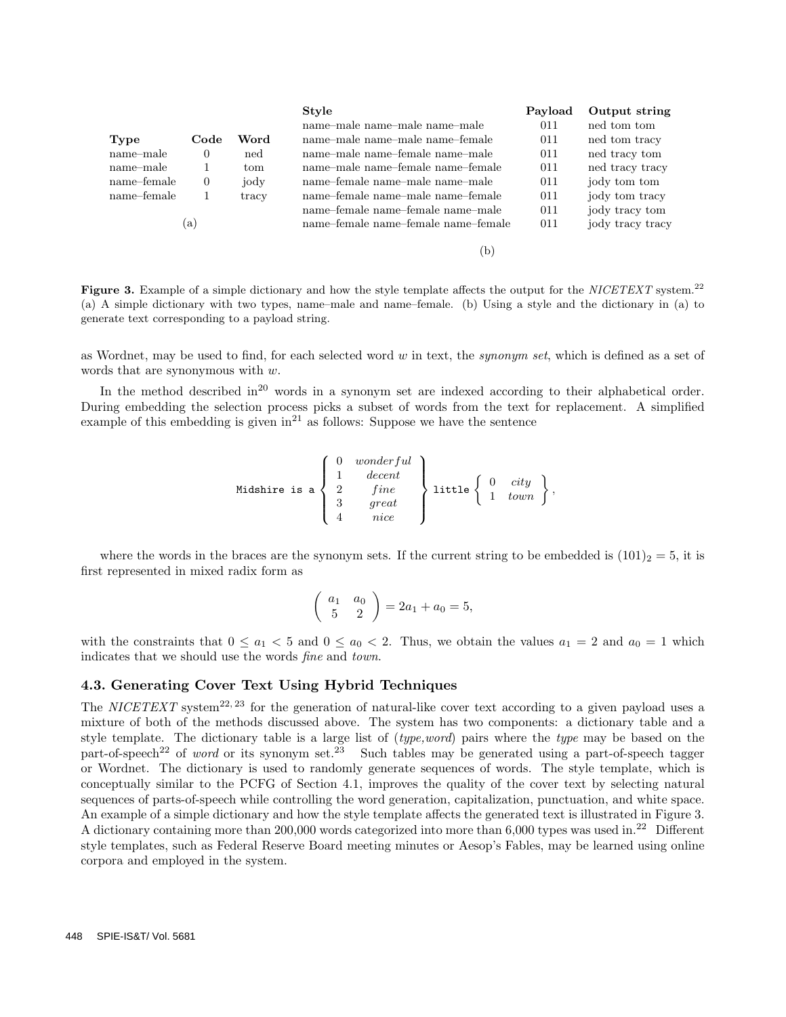|             |          |       | <b>Style</b>                        | Payload | Output string    |
|-------------|----------|-------|-------------------------------------|---------|------------------|
|             |          |       | name-male name-male name-male       | 011     | ned tom tom      |
| Type        | Code     | Word  | name-male name-male name-female     | 011     | ned tom tracy    |
| name-male   | $\theta$ | ned   | name-male name-female name-male     | 011     | ned tracy tom    |
| name-male   |          | tom   | name-male name-female name-female   | 011     | ned tracy tracy  |
| name-female | $\Omega$ | jody  | name-female name-male name-male     | 011     | jody tom tom     |
| name-female | 1        | tracy | name-female name-male name-female   | 011     | jody tom tracy   |
|             |          |       | name-female name-female name-male   | 011     | jody tracy tom   |
|             | (a)      |       | name-female name-female name-female | 011     | jody tracy tracy |
|             |          |       | b                                   |         |                  |

Figure 3. Example of a simple dictionary and how the style template affects the output for the *NICETEXT* system.<sup>22</sup> (a) A simple dictionary with two types, name–male and name–female. (b) Using a style and the dictionary in (a) to generate text corresponding to a payload string.

as Wordnet, may be used to find, for each selected word *w* in text, the *synonym set*, which is defined as a set of words that are synonymous with *w*.

In the method described in<sup>20</sup> words in a synonym set are indexed according to their alphabetical order. During embedding the selection process picks a subset of words from the text for replacement. A simplified example of this embedding is given  $in^{21}$  as follows: Suppose we have the sentence

$$
\text{Midshire is a} \left\{ \begin{array}{c} 0 \quad wonderful \\ 1 \quad decent \\ 2 \quad fine \\ 3 \quad great \\ 4 \quad nice \end{array} \right\} \text{little} \left\{ \begin{array}{c} 0 \quad city \\ 1 \quad town \end{array} \right\},
$$

where the words in the braces are the synonym sets. If the current string to be embedded is  $(101)<sub>2</sub> = 5$ , it is first represented in mixed radix form as

$$
\left(\begin{array}{cc} a_1 & a_0 \\ 5 & 2 \end{array}\right) = 2a_1 + a_0 = 5,
$$

with the constraints that  $0 \le a_1 < 5$  and  $0 \le a_0 < 2$ . Thus, we obtain the values  $a_1 = 2$  and  $a_0 = 1$  which indicates that we should use the words *fine* and *town*.

## **4.3. Generating Cover Text Using Hybrid Techniques**

The *NICETEXT* system<sup>22, 23</sup> for the generation of natural-like cover text according to a given payload uses a mixture of both of the methods discussed above. The system has two components: a dictionary table and a style template. The dictionary table is a large list of (*type,word*) pairs where the *type* may be based on the part-of-speech<sup>22</sup> of *word* or its synonym set.<sup>23</sup> Such tables may be generated using a part-of-speech tagger or Wordnet. The dictionary is used to randomly generate sequences of words. The style template, which is conceptually similar to the PCFG of Section 4.1, improves the quality of the cover text by selecting natural sequences of parts-of-speech while controlling the word generation, capitalization, punctuation, and white space. An example of a simple dictionary and how the style template affects the generated text is illustrated in Figure 3. A dictionary containing more than 200,000 words categorized into more than 6,000 types was used in.<sup>22</sup> Different style templates, such as Federal Reserve Board meeting minutes or Aesop's Fables, may be learned using online corpora and employed in the system.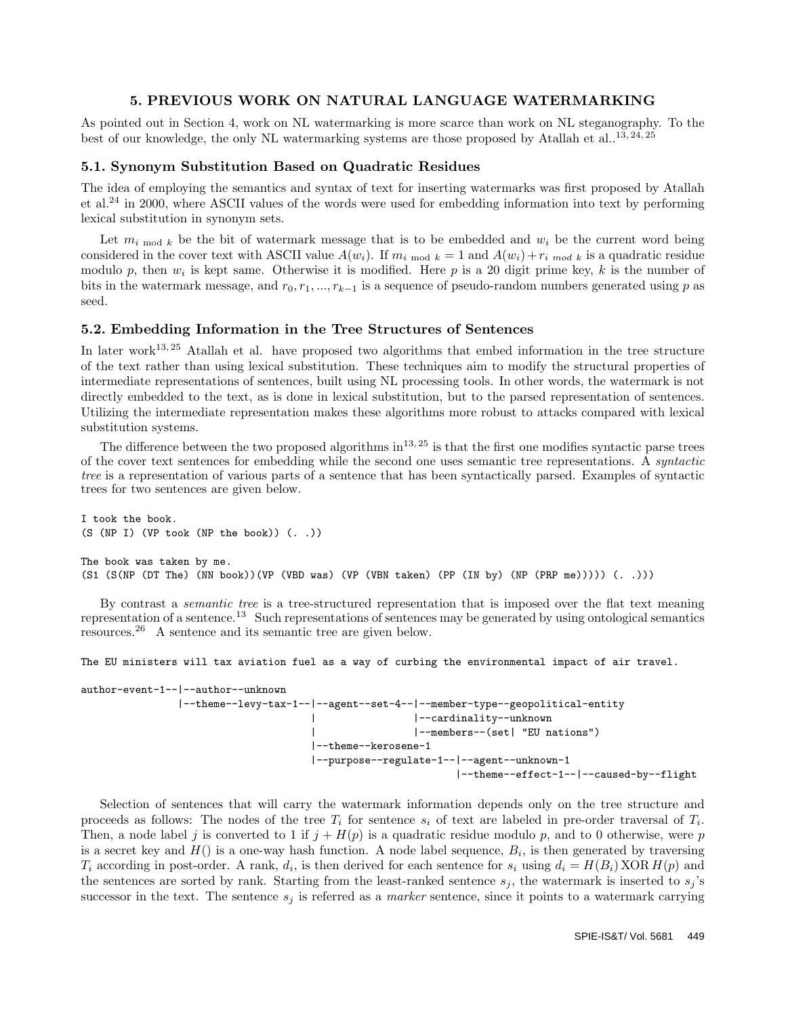## **5. PREVIOUS WORK ON NATURAL LANGUAGE WATERMARKING**

As pointed out in Section 4, work on NL watermarking is more scarce than work on NL steganography. To the best of our knowledge, the only NL watermarking systems are those proposed by Atallah et al..<sup>13, 24, 25</sup>

#### **5.1. Synonym Substitution Based on Quadratic Residues**

The idea of employing the semantics and syntax of text for inserting watermarks was first proposed by Atallah et al.<sup>24</sup> in 2000, where ASCII values of the words were used for embedding information into text by performing lexical substitution in synonym sets.

Let  $m_i$  mod  $_k$  be the bit of watermark message that is to be embedded and  $w_i$  be the current word being considered in the cover text with ASCII value  $A(w_i)$ . If  $m_i$  mod  $_k = 1$  and  $A(w_i) + r_i$  mod  $_k$  is a quadratic residue modulo p, then  $w_i$  is kept same. Otherwise it is modified. Here p is a 20 digit prime key,  $k$  is the number of bits in the watermark message, and  $r_0, r_1, ..., r_{k-1}$  is a sequence of pseudo-random numbers generated using  $p$  as seed.

#### **5.2. Embedding Information in the Tree Structures of Sentences**

In later work<sup>13, 25</sup> Atallah et al. have proposed two algorithms that embed information in the tree structure of the text rather than using lexical substitution. These techniques aim to modify the structural properties of intermediate representations of sentences, built using NL processing tools. In other words, the watermark is not directly embedded to the text, as is done in lexical substitution, but to the parsed representation of sentences. Utilizing the intermediate representation makes these algorithms more robust to attacks compared with lexical substitution systems.

The difference between the two proposed algorithms  $\ln^{13, 25}$  is that the first one modifies syntactic parse trees of the cover text sentences for embedding while the second one uses semantic tree representations. A *syntactic tree* is a representation of various parts of a sentence that has been syntactically parsed. Examples of syntactic trees for two sentences are given below.

```
I took the book.
(S (NP I) (VP took (NP the book)) (...))The book was taken by me.
(S1 (S(NP (DT The) (NN book))(VP (VBD was) (VP (VBN taken) (PP (IN by) (NP (PRP me))))) (. .)))
```
By contrast a *semantic tree* is a tree-structured representation that is imposed over the flat text meaning representation of a sentence.<sup>13</sup> Such representations of sentences may be generated by using ontological semantics resources.<sup>26</sup> A sentence and its semantic tree are given below.

The EU ministers will tax aviation fuel as a way of curbing the environmental impact of air travel.

```
author-event-1--|--author--unknown
                |--theme--levy-tax-1--|--agent--set-4--|--member-type--geopolitical-entity
                                                       | |--cardinality--unknown
                                                       | |--members--(set| "EU nations")
                                       |--theme--kerosene-1
                                       |--purpose--regulate-1--|--agent--unknown-1
                                                               |--theme--effect-1--|--caused-by--flight
```
Selection of sentences that will carry the watermark information depends only on the tree structure and proceeds as follows: The nodes of the tree  $T_i$  for sentence  $s_i$  of text are labeled in pre-order traversal of  $T_i$ . Then, a node label *j* is converted to 1 if  $j + H(p)$  is a quadratic residue modulo p, and to 0 otherwise, were p is a secret key and  $H()$  is a one-way hash function. A node label sequence,  $B_i$ , is then generated by traversing *T*<sub>i</sub> according in post-order. A rank,  $d_i$ , is then derived for each sentence for  $s_i$  using  $d_i = H(B_i)$  XOR  $H(p)$  and the sentences are sorted by rank. Starting from the least-ranked sentence  $s_j$ , the watermark is inserted to  $s_j$ 's successor in the text. The sentence  $s_j$  is referred as a *marker* sentence, since it points to a watermark carrying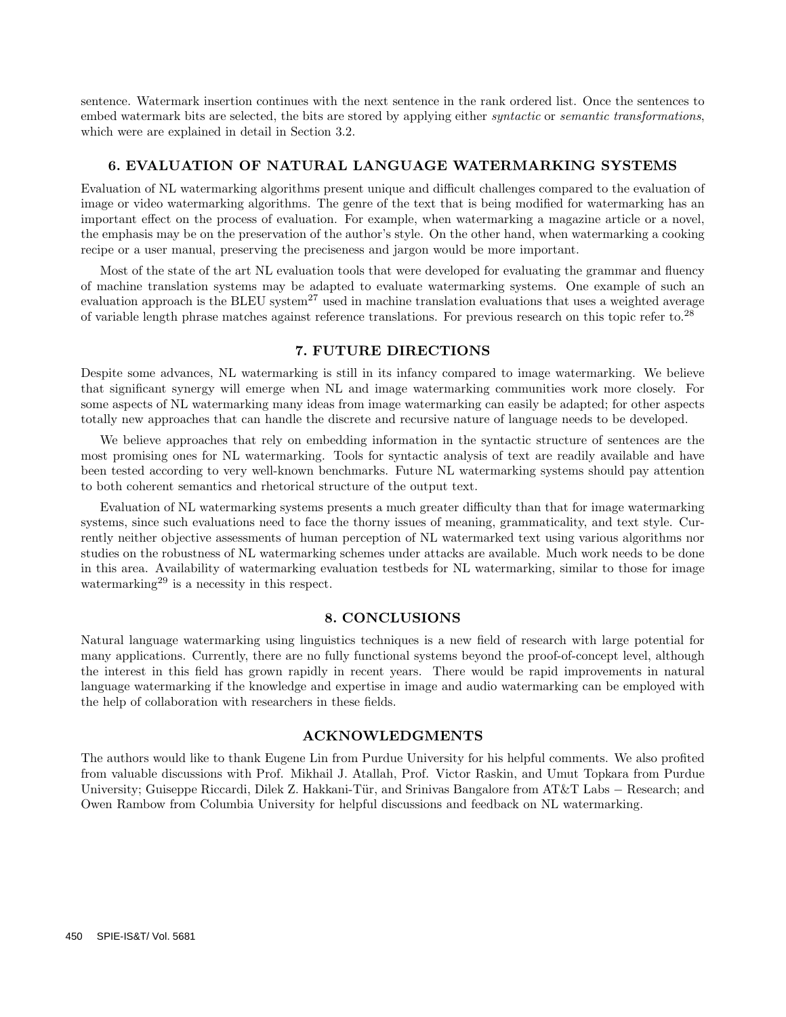sentence. Watermark insertion continues with the next sentence in the rank ordered list. Once the sentences to embed watermark bits are selected, the bits are stored by applying either *syntactic* or *semantic transformations*, which were are explained in detail in Section 3.2.

#### **6. EVALUATION OF NATURAL LANGUAGE WATERMARKING SYSTEMS**

Evaluation of NL watermarking algorithms present unique and difficult challenges compared to the evaluation of image or video watermarking algorithms. The genre of the text that is being modified for watermarking has an important effect on the process of evaluation. For example, when watermarking a magazine article or a novel, the emphasis may be on the preservation of the author's style. On the other hand, when watermarking a cooking recipe or a user manual, preserving the preciseness and jargon would be more important.

Most of the state of the art NL evaluation tools that were developed for evaluating the grammar and fluency of machine translation systems may be adapted to evaluate watermarking systems. One example of such an evaluation approach is the BLEU system<sup>27</sup> used in machine translation evaluations that uses a weighted average of variable length phrase matches against reference translations. For previous research on this topic refer to.<sup>28</sup>

## **7. FUTURE DIRECTIONS**

Despite some advances, NL watermarking is still in its infancy compared to image watermarking. We believe that significant synergy will emerge when NL and image watermarking communities work more closely. For some aspects of NL watermarking many ideas from image watermarking can easily be adapted; for other aspects totally new approaches that can handle the discrete and recursive nature of language needs to be developed.

We believe approaches that rely on embedding information in the syntactic structure of sentences are the most promising ones for NL watermarking. Tools for syntactic analysis of text are readily available and have been tested according to very well-known benchmarks. Future NL watermarking systems should pay attention to both coherent semantics and rhetorical structure of the output text.

Evaluation of NL watermarking systems presents a much greater difficulty than that for image watermarking systems, since such evaluations need to face the thorny issues of meaning, grammaticality, and text style. Currently neither objective assessments of human perception of NL watermarked text using various algorithms nor studies on the robustness of NL watermarking schemes under attacks are available. Much work needs to be done in this area. Availability of watermarking evaluation testbeds for NL watermarking, similar to those for image watermarking<sup>29</sup> is a necessity in this respect.

#### **8. CONCLUSIONS**

Natural language watermarking using linguistics techniques is a new field of research with large potential for many applications. Currently, there are no fully functional systems beyond the proof-of-concept level, although the interest in this field has grown rapidly in recent years. There would be rapid improvements in natural language watermarking if the knowledge and expertise in image and audio watermarking can be employed with the help of collaboration with researchers in these fields.

## **ACKNOWLEDGMENTS**

The authors would like to thank Eugene Lin from Purdue University for his helpful comments. We also profited from valuable discussions with Prof. Mikhail J. Atallah, Prof. Victor Raskin, and Umut Topkara from Purdue University; Guiseppe Riccardi, Dilek Z. Hakkani-Tür, and Srinivas Bangalore from AT&T Labs – Research; and Owen Rambow from Columbia University for helpful discussions and feedback on NL watermarking.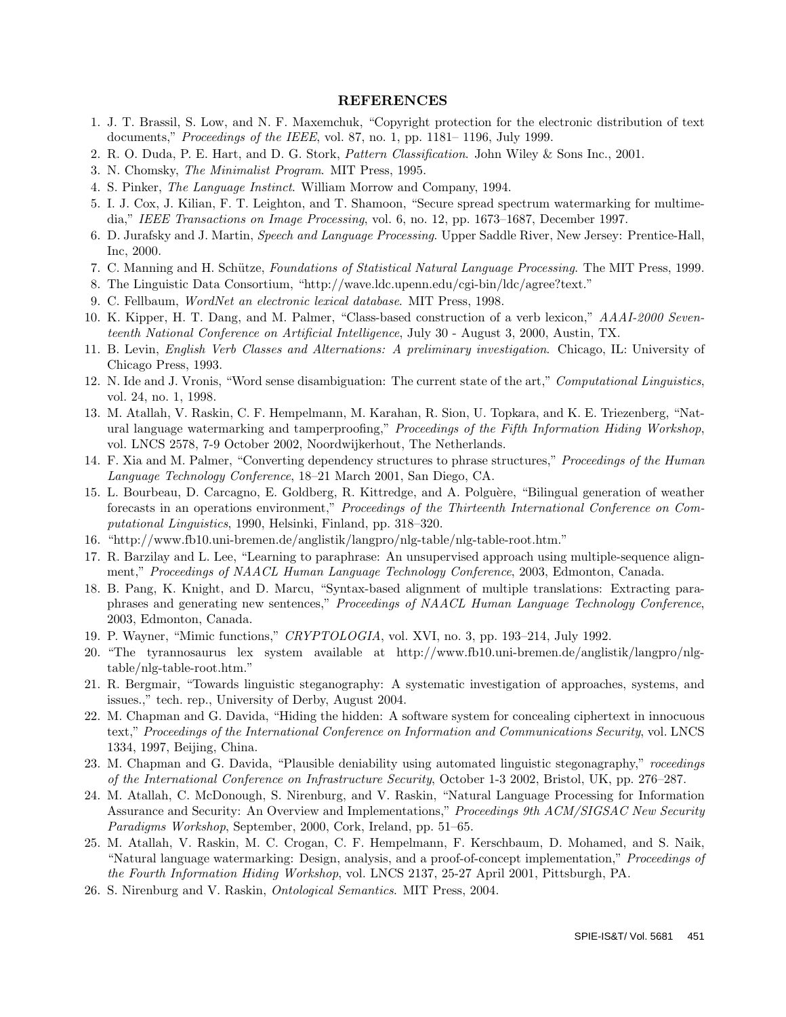## **REFERENCES**

- 1. J. T. Brassil, S. Low, and N. F. Maxemchuk, "Copyright protection for the electronic distribution of text documents," *Proceedings of the IEEE*, vol. 87, no. 1, pp. 1181– 1196, July 1999.
- 2. R. O. Duda, P. E. Hart, and D. G. Stork, *Pattern Classification*. John Wiley & Sons Inc., 2001.
- 3. N. Chomsky, *The Minimalist Program*. MIT Press, 1995.
- 4. S. Pinker, *The Language Instinct*. William Morrow and Company, 1994.
- 5. I. J. Cox, J. Kilian, F. T. Leighton, and T. Shamoon, "Secure spread spectrum watermarking for multimedia," *IEEE Transactions on Image Processing*, vol. 6, no. 12, pp. 1673–1687, December 1997.
- 6. D. Jurafsky and J. Martin, *Speech and Language Processing*. Upper Saddle River, New Jersey: Prentice-Hall, Inc, 2000.
- 7. C. Manning and H. Schütze, *Foundations of Statistical Natural Language Processing*. The MIT Press, 1999.
- 8. The Linguistic Data Consortium, "http://wave.ldc.upenn.edu/cgi-bin/ldc/agree?text."
- 9. C. Fellbaum, *WordNet an electronic lexical database*. MIT Press, 1998.
- 10. K. Kipper, H. T. Dang, and M. Palmer, "Class-based construction of a verb lexicon," *AAAI-2000 Seventeenth National Conference on Artificial Intelligence*, July 30 - August 3, 2000, Austin, TX.
- 11. B. Levin, *English Verb Classes and Alternations: A preliminary investigation*. Chicago, IL: University of Chicago Press, 1993.
- 12. N. Ide and J. Vronis, "Word sense disambiguation: The current state of the art," *Computational Linguistics*, vol. 24, no. 1, 1998.
- 13. M. Atallah, V. Raskin, C. F. Hempelmann, M. Karahan, R. Sion, U. Topkara, and K. E. Triezenberg, "Natural language watermarking and tamperproofing," *Proceedings of the Fifth Information Hiding Workshop*, vol. LNCS 2578, 7-9 October 2002, Noordwijkerhout, The Netherlands.
- 14. F. Xia and M. Palmer, "Converting dependency structures to phrase structures," *Proceedings of the Human Language Technology Conference*, 18–21 March 2001, San Diego, CA.
- 15. L. Bourbeau, D. Carcagno, E. Goldberg, R. Kittredge, and A. Polguère, "Bilingual generation of weather forecasts in an operations environment," *Proceedings of the Thirteenth International Conference on Computational Linguistics*, 1990, Helsinki, Finland, pp. 318–320.
- 16. "http://www.fb10.uni-bremen.de/anglistik/langpro/nlg-table/nlg-table-root.htm."
- 17. R. Barzilay and L. Lee, "Learning to paraphrase: An unsupervised approach using multiple-sequence alignment," *Proceedings of NAACL Human Language Technology Conference*, 2003, Edmonton, Canada.
- 18. B. Pang, K. Knight, and D. Marcu, "Syntax-based alignment of multiple translations: Extracting paraphrases and generating new sentences," *Proceedings of NAACL Human Language Technology Conference*, 2003, Edmonton, Canada.
- 19. P. Wayner, "Mimic functions," *CRYPTOLOGIA*, vol. XVI, no. 3, pp. 193–214, July 1992.
- 20. "The tyrannosaurus lex system available at http://www.fb10.uni-bremen.de/anglistik/langpro/nlgtable/nlg-table-root.htm."
- 21. R. Bergmair, "Towards linguistic steganography: A systematic investigation of approaches, systems, and issues.," tech. rep., University of Derby, August 2004.
- 22. M. Chapman and G. Davida, "Hiding the hidden: A software system for concealing ciphertext in innocuous text," *Proceedings of the International Conference on Information and Communications Security*, vol. LNCS 1334, 1997, Beijing, China.
- 23. M. Chapman and G. Davida, "Plausible deniability using automated linguistic stegonagraphy," *roceedings of the International Conference on Infrastructure Security*, October 1-3 2002, Bristol, UK, pp. 276–287.
- 24. M. Atallah, C. McDonough, S. Nirenburg, and V. Raskin, "Natural Language Processing for Information Assurance and Security: An Overview and Implementations," *Proceedings 9th ACM/SIGSAC New Security Paradigms Workshop*, September, 2000, Cork, Ireland, pp. 51–65.
- 25. M. Atallah, V. Raskin, M. C. Crogan, C. F. Hempelmann, F. Kerschbaum, D. Mohamed, and S. Naik, "Natural language watermarking: Design, analysis, and a proof-of-concept implementation," *Proceedings of the Fourth Information Hiding Workshop*, vol. LNCS 2137, 25-27 April 2001, Pittsburgh, PA.
- 26. S. Nirenburg and V. Raskin, *Ontological Semantics*. MIT Press, 2004.